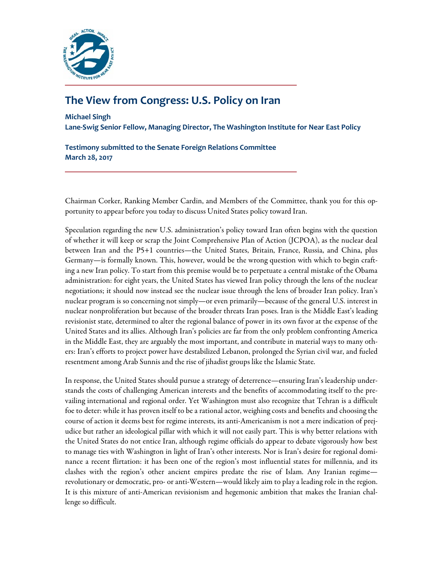

# **The View from Congress: U.S. Policy on Iran**

**Michael Singh**

**Lane-Swig Senior Fellow, Managing Director, The Washington Institute for Near East Policy**

**Testimony submitted to the Senate Foreign Relations Committee March 28, 2017**

Chairman Corker, Ranking Member Cardin, and Members of the Committee, thank you for this opportunity to appear before you today to discuss United States policy toward Iran.

Speculation regarding the new U.S. administration's policy toward Iran often begins with the question of whether it will keep or scrap the Joint Comprehensive Plan of Action (JCPOA), as the nuclear deal between Iran and the P5+1 countries—the United States, Britain, France, Russia, and China, plus Germany—is formally known. This, however, would be the wrong question with which to begin crafting a new Iran policy. To start from this premise would be to perpetuate a central mistake of the Obama administration: for eight years, the United States has viewed Iran policy through the lens of the nuclear negotiations; it should now instead see the nuclear issue through the lens of broader Iran policy. Iran's nuclear program is so concerning not simply—or even primarily—because of the general U.S. interest in nuclear nonproliferation but because of the broader threats Iran poses. Iran is the Middle East's leading revisionist state, determined to alter the regional balance of power in its own favor at the expense of the United States and its allies. Although Iran's policies are far from the only problem confronting America in the Middle East, they are arguably the most important, and contribute in material ways to many others: Iran's efforts to project power have destabilized Lebanon, prolonged the Syrian civil war, and fueled resentment among Arab Sunnis and the rise of jihadist groups like the Islamic State.

In response, the United States should pursue a strategy of deterrence—ensuring Iran's leadership understands the costs of challenging American interests and the benefits of accommodating itself to the prevailing international and regional order. Yet Washington must also recognize that Tehran is a difficult foe to deter: while it has proven itself to be a rational actor, weighing costs and benefits and choosing the course of action it deems best for regime interests, its anti-Americanism is not a mere indication of prejudice but rather an ideological pillar with which it will not easily part. This is why better relations with the United States do not entice Iran, although regime officials do appear to debate vigorously how best to manage ties with Washington in light of Iran's other interests. Nor is Iran's desire for regional dominance a recent flirtation: it has been one of the region's most influential states for millennia, and its clashes with the region's other ancient empires predate the rise of Islam. Any Iranian regime revolutionary or democratic, pro- or anti-Western—would likely aim to play a leading role in the region. It is this mixture of anti-American revisionism and hegemonic ambition that makes the Iranian challenge so difficult.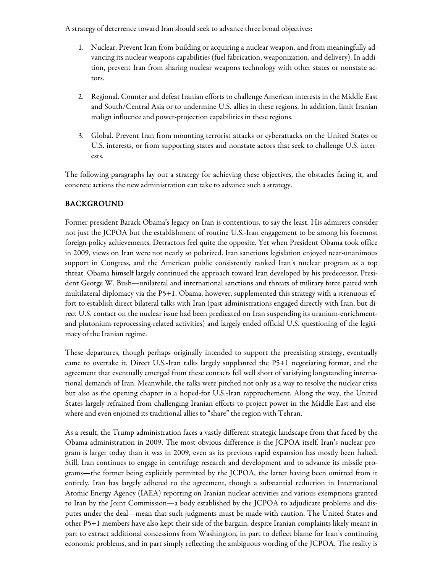A strategy of deterrence toward Iran should seek to advance three broad objectives:

- 1. Nuclear. Prevent Iran from building or acquiring a nuclear weapon, and from meaningfully advancing its nuclear weapons capabilities (fuel fabrication, weaponization, and delivery). In addition, prevent Iran from sharing nuclear weapons technology with other states or nonstate actors.
- 2. Regional. Counter and defeat Iranian efforts to challenge American interests in the Middle East and South/Central Asia or to undermine U.S. allies in these regions. In addition, limit Iranian malign influence and power-projection capabilities in these regions.
- 3. Global. Prevent Iran from mounting terrorist attacks or cyberattacks on the United States or U.S. interests, or from supporting states and nonstate actors that seek to challenge U.S. interests.

The following paragraphs lay out a strategy for achieving these objectives, the obstacles facing it, and concrete actions the new administration can take to advance such a strategy.

## BACKGROUND

Former president Barack Obama's legacy on Iran is contentious, to say the least. His admirers consider not just the JCPOA but the establishment of routine U.S.-Iran engagement to be among his foremost foreign policy achievements. Detractors feel quite the opposite. Yet when President Obama took office in 2009, views on Iran were not nearly so polarized. Iran sanctions legislation enjoyed near-unanimous support in Congress, and the American public consistently ranked Iran's nuclear program as a top threat. Obama himself largely continued the approach toward Iran developed by his predecessor, President George W. Bush—unilateral and international sanctions and threats of military force paired with multilateral diplomacy via the P5+1. Obama, however, supplemented this strategy with a strenuous effort to establish direct bilateral talks with Iran (past administrations engaged directly with Iran, but direct U.S. contact on the nuclear issue had been predicated on Iran suspending its uranium-enrichmentand plutonium-reprocessing-related activities) and largely ended official U.S. questioning of the legitimacy of the Iranian regime.

These departures, though perhaps originally intended to support the preexisting strategy, eventually came to overtake it. Direct U.S.-Iran talks largely supplanted the P5+1 negotiating format, and the agreement that eventually emerged from these contacts fell well short of satisfying longstanding international demands of Iran. Meanwhile, the talks were pitched not only as a way to resolve the nuclear crisis but also as the opening chapter in a hoped-for U.S.-Iran rapprochement. Along the way, the United States largely refrained from challenging Iranian efforts to project power in the Middle East and elsewhere and even enjoined its traditional allies to "share" the region with Tehran.

As a result, the Trump administration faces a vastly different strategic landscape from that faced by the Obama administration in 2009. The most obvious difference is the JCPOA itself. Iran's nuclear program is larger today than it was in 2009, even as its previous rapid expansion has mostly been halted. Still, Iran continues to engage in centrifuge research and development and to advance its missile programs—the former being explicitly permitted by the JCPOA, the latter having been omitted from it entirely. Iran has largely adhered to the agreement, though a substantial reduction in International Atomic Energy Agency (IAEA) reporting on Iranian nuclear activities and various exemptions granted to Iran by the Joint Commission—a body established by the JCPOA to adjudicate problems and disputes under the deal—mean that such judgments must be made with caution. The United States and other P5+1 members have also kept their side of the bargain, despite Iranian complaints likely meant in part to extract additional concessions from Washington, in part to deflect blame for Iran's continuing economic problems, and in part simply reflecting the ambiguous wording of the JCPOA. The reality is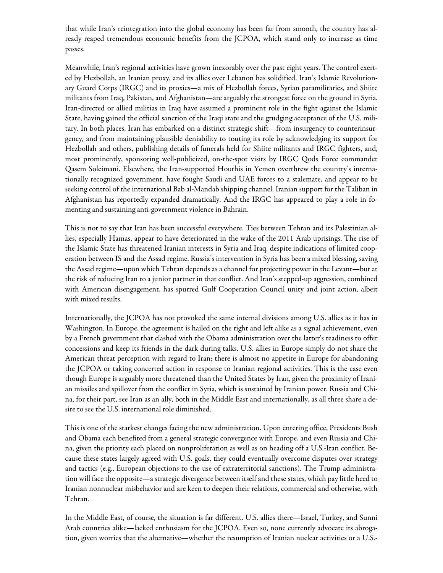that while Iran's reintegration into the global economy has been far from smooth, the country has already reaped tremendous economic benefits from the JCPOA, which stand only to increase as time passes.

Meanwhile, Iran's regional activities have grown inexorably over the past eight years. The control exerted by Hezbollah, an Iranian proxy, and its allies over Lebanon has solidified. Iran's Islamic Revolutionary Guard Corps (IRGC) and its proxies—a mix of Hezbollah forces, Syrian paramilitaries, and Shiite militants from Iraq, Pakistan, and Afghanistan—are arguably the strongest force on the ground in Syria. Iran-directed or allied militias in Iraq have assumed a prominent role in the fight against the Islamic State, having gained the official sanction of the Iraqi state and the grudging acceptance of the U.S. military. In both places, Iran has embarked on a distinct strategic shift—from insurgency to counterinsurgency, and from maintaining plausible deniability to touting its role by acknowledging its support for Hezbollah and others, publishing details of funerals held for Shiite militants and IRGC fighters, and, most prominently, sponsoring well-publicized, on-the-spot visits by IRGC Qods Force commander Qasem Soleimani. Elsewhere, the Iran-supported Houthis in Yemen overthrew the country's internationally recognized government, have fought Saudi and UAE forces to a stalemate, and appear to be seeking control of the international Bab al-Mandab shipping channel. Iranian support for the Taliban in Afghanistan has reportedly expanded dramatically. And the IRGC has appeared to play a role in fomenting and sustaining anti-government violence in Bahrain.

This is not to say that Iran has been successful everywhere. Ties between Tehran and its Palestinian allies, especially Hamas, appear to have deteriorated in the wake of the 2011 Arab uprisings. The rise of the Islamic State has threatened Iranian interests in Syria and Iraq, despite indications of limited cooperation between IS and the Assad regime. Russia's intervention in Syria has been a mixed blessing, saving the Assad regime—upon which Tehran depends as a channel for projecting power in the Levant—but at the risk of reducing Iran to a junior partner in that conflict. And Iran's stepped-up aggression, combined with American disengagement, has spurred Gulf Cooperation Council unity and joint action, albeit with mixed results.

Internationally, the JCPOA has not provoked the same internal divisions among U.S. allies as it has in Washington. In Europe, the agreement is hailed on the right and left alike as a signal achievement, even by a French government that clashed with the Obama administration over the latter's readiness to offer concessions and keep its friends in the dark during talks. U.S. allies in Europe simply do not share the American threat perception with regard to Iran; there is almost no appetite in Europe for abandoning the JCPOA or taking concerted action in response to Iranian regional activities. This is the case even though Europe is arguably more threatened than the United States by Iran, given the proximity of Iranian missiles and spillover from the conflict in Syria, which is sustained by Iranian power. Russia and China, for their part, see Iran as an ally, both in the Middle East and internationally, as all three share a desire to see the U.S. international role diminished.

This is one of the starkest changes facing the new administration. Upon entering office, Presidents Bush and Obama each benefited from a general strategic convergence with Europe, and even Russia and China, given the priority each placed on nonproliferation as well as on heading off a U.S.-Iran conflict. Because these states largely agreed with U.S. goals, they could eventually overcome disputes over strategy and tactics (e.g., European objections to the use of extraterritorial sanctions). The Trump administration will face the opposite—a strategic divergence between itself and these states, which pay little heed to Iranian nonnuclear misbehavior and are keen to deepen their relations, commercial and otherwise, with Tehran.

In the Middle East, of course, the situation is far different. U.S. allies there—Israel, Turkey, and Sunni Arab countries alike—lacked enthusiasm for the JCPOA. Even so, none currently advocate its abrogation, given worries that the alternative—whether the resumption of Iranian nuclear activities or a U.S.-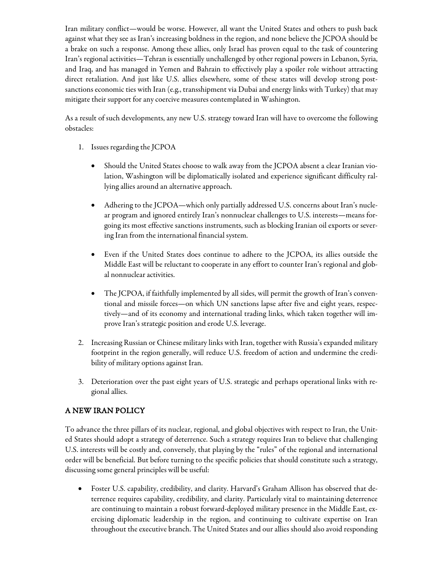Iran military conflict—would be worse. However, all want the United States and others to push back against what they see as Iran's increasing boldness in the region, and none believe the JCPOA should be a brake on such a response. Among these allies, only Israel has proven equal to the task of countering Iran's regional activities—Tehran is essentially unchallenged by other regional powers in Lebanon, Syria, and Iraq, and has managed in Yemen and Bahrain to effectively play a spoiler role without attracting direct retaliation. And just like U.S. allies elsewhere, some of these states will develop strong postsanctions economic ties with Iran (e.g., transshipment via Dubai and energy links with Turkey) that may mitigate their support for any coercive measures contemplated in Washington.

As a result of such developments, any new U.S. strategy toward Iran will have to overcome the following obstacles:

- 1. Issues regarding the JCPOA
	- Should the United States choose to walk away from the JCPOA absent a clear Iranian violation, Washington will be diplomatically isolated and experience significant difficulty rallying allies around an alternative approach.
	- Adhering to the JCPOA—which only partially addressed U.S. concerns about Iran's nuclear program and ignored entirely Iran's nonnuclear challenges to U.S. interests—means forgoing its most effective sanctions instruments, such as blocking Iranian oil exports or severing Iran from the international financial system.
	- Even if the United States does continue to adhere to the JCPOA, its allies outside the Middle East will be reluctant to cooperate in any effort to counter Iran's regional and global nonnuclear activities.
	- The JCPOA, if faithfully implemented by all sides, will permit the growth of Iran's conventional and missile forces—on which UN sanctions lapse after five and eight years, respectively—and of its economy and international trading links, which taken together will improve Iran's strategic position and erode U.S. leverage.
- 2. Increasing Russian or Chinese military links with Iran, together with Russia's expanded military footprint in the region generally, will reduce U.S. freedom of action and undermine the credibility of military options against Iran.
- 3. Deterioration over the past eight years of U.S. strategic and perhaps operational links with regional allies.

## A NEW IRAN POLICY

To advance the three pillars of its nuclear, regional, and global objectives with respect to Iran, the United States should adopt a strategy of deterrence. Such a strategy requires Iran to believe that challenging U.S. interests will be costly and, conversely, that playing by the "rules" of the regional and international order will be beneficial. But before turning to the specific policies that should constitute such a strategy, discussing some general principles will be useful:

• Foster U.S. capability, credibility, and clarity. Harvard's Graham Allison has observed that deterrence requires capability, credibility, and clarity. Particularly vital to maintaining deterrence are continuing to maintain a robust forward-deployed military presence in the Middle East, exercising diplomatic leadership in the region, and continuing to cultivate expertise on Iran throughout the executive branch. The United States and our allies should also avoid responding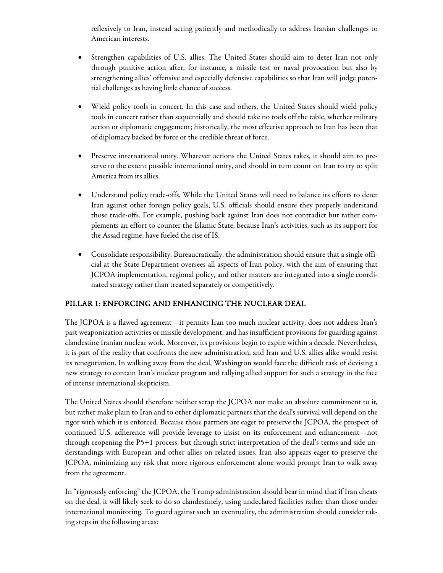reflexively to Iran, instead acting patiently and methodically to address Iranian challenges to American interests.

- Strengthen capabilities of U.S. allies. The United States should aim to deter Iran not only through punitive action after, for instance, a missile test or naval provocation but also by strengthening allies' offensive and especially defensive capabilities so that Iran will judge potential challenges as having little chance of success.
- Wield policy tools in concert. In this case and others, the United States should wield policy tools in concert rather than sequentially and should take no tools off the table, whether military action or diplomatic engagement; historically, the most effective approach to Iran has been that of diplomacy backed by force or the credible threat of force.
- Preserve international unity. Whatever actions the United States takes, it should aim to preserve to the extent possible international unity, and should in turn count on Iran to try to split America from its allies.
- Understand policy trade-offs. While the United States will need to balance its efforts to deter Iran against other foreign policy goals, U.S. officials should ensure they properly understand those trade-offs. For example, pushing back against Iran does not contradict but rather complements an effort to counter the Islamic State, because Iran's activities, such as its support for the Assad regime, have fueled the rise of IS.
- Consolidate responsibility. Bureaucratically, the administration should ensure that a single official at the State Department oversees all aspects of Iran policy, with the aim of ensuring that JCPOA implementation, regional policy, and other matters are integrated into a single coordinated strategy rather than treated separately or competitively.

## PILLAR 1: ENFORCING AND ENHANCING THE NUCLEAR DEAL

The JCPOA is a flawed agreement—it permits Iran too much nuclear activity, does not address Iran's past weaponization activities or missile development, and has insufficient provisions for guarding against clandestine Iranian nuclear work. Moreover, its provisions begin to expire within a decade. Nevertheless, it is part of the reality that confronts the new administration, and Iran and U.S. allies alike would resist its renegotiation. In walking away from the deal, Washington would face the difficult task of devising a new strategy to contain Iran's nuclear program and rallying allied support for such a strategy in the face of intense international skepticism.

The United States should therefore neither scrap the JCPOA nor make an absolute commitment to it, but rather make plain to Iran and to other diplomatic partners that the deal's survival will depend on the rigor with which it is enforced. Because those partners are eager to preserve the JCPOA, the prospect of continued U.S. adherence will provide leverage to insist on its enforcement and enhancement—not through reopening the P5+1 process, but through strict interpretation of the deal's terms and side understandings with European and other allies on related issues. Iran also appears eager to preserve the JCPOA, minimizing any risk that more rigorous enforcement alone would prompt Iran to walk away from the agreement.

In "rigorously enforcing" the JCPOA, the Trump administration should bear in mind that if Iran cheats on the deal, it will likely seek to do so clandestinely, using undeclared facilities rather than those under international monitoring. To guard against such an eventuality, the administration should consider taking steps in the following areas: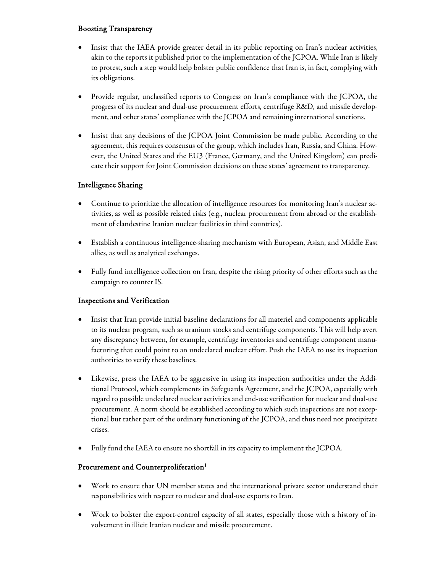## Boosting Transparency

- Insist that the IAEA provide greater detail in its public reporting on Iran's nuclear activities, akin to the reports it published prior to the implementation of the JCPOA. While Iran is likely to protest, such a step would help bolster public confidence that Iran is, in fact, complying with its obligations.
- Provide regular, unclassified reports to Congress on Iran's compliance with the JCPOA, the progress of its nuclear and dual-use procurement efforts, centrifuge R&D, and missile development, and other states' compliance with the JCPOA and remaining international sanctions.
- Insist that any decisions of the JCPOA Joint Commission be made public. According to the agreement, this requires consensus of the group, which includes Iran, Russia, and China. However, the United States and the EU3 (France, Germany, and the United Kingdom) can predicate their support for Joint Commission decisions on these states' agreement to transparency.

## Intelligence Sharing

- Continue to prioritize the allocation of intelligence resources for monitoring Iran's nuclear activities, as well as possible related risks (e.g., nuclear procurement from abroad or the establishment of clandestine Iranian nuclear facilities in third countries).
- Establish a continuous intelligence-sharing mechanism with European, Asian, and Middle East allies, as well as analytical exchanges.
- Fully fund intelligence collection on Iran, despite the rising priority of other efforts such as the campaign to counter IS.

## Inspections and Verification

- Insist that Iran provide initial baseline declarations for all materiel and components applicable to its nuclear program, such as uranium stocks and centrifuge components. This will help avert any discrepancy between, for example, centrifuge inventories and centrifuge component manufacturing that could point to an undeclared nuclear effort. Push the IAEA to use its inspection authorities to verify these baselines.
- Likewise, press the IAEA to be aggressive in using its inspection authorities under the Additional Protocol, which complements its Safeguards Agreement, and the JCPOA, especially with regard to possible undeclared nuclear activities and end-use verification for nuclear and dual-use procurement. A norm should be established according to which such inspections are not exceptional but rather part of the ordinary functioning of the JCPOA, and thus need not precipitate crises.
- Fully fund the IAEA to ensure no shortfall in its capacity to implement the JCPOA.

## Procurement and Counterproliferation<sup>1</sup>

- Work to ensure that UN member states and the international private sector understand their responsibilities with respect to nuclear and dual-use exports to Iran.
- Work to bolster the export-control capacity of all states, especially those with a history of involvement in illicit Iranian nuclear and missile procurement.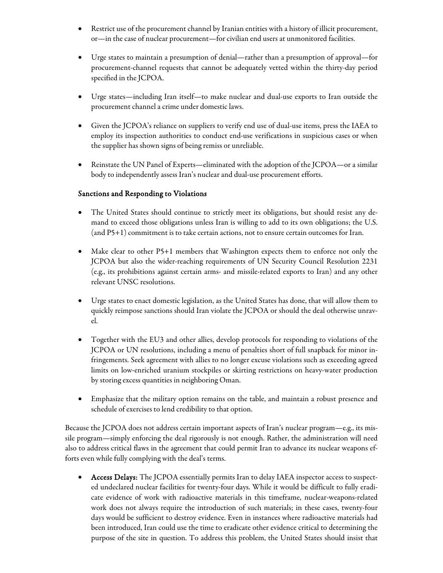- Restrict use of the procurement channel by Iranian entities with a history of illicit procurement, or—in the case of nuclear procurement—for civilian end users at unmonitored facilities.
- Urge states to maintain a presumption of denial—rather than a presumption of approval—for procurement-channel requests that cannot be adequately vetted within the thirty-day period specified in the JCPOA.
- Urge states—including Iran itself—to make nuclear and dual-use exports to Iran outside the procurement channel a crime under domestic laws.
- Given the JCPOA's reliance on suppliers to verify end use of dual-use items, press the IAEA to employ its inspection authorities to conduct end-use verifications in suspicious cases or when the supplier has shown signs of being remiss or unreliable.
- Reinstate the UN Panel of Experts—eliminated with the adoption of the JCPOA—or a similar body to independently assess Iran's nuclear and dual-use procurement efforts.

## Sanctions and Responding to Violations

- The United States should continue to strictly meet its obligations, but should resist any demand to exceed those obligations unless Iran is willing to add to its own obligations; the U.S. (and P5+1) commitment is to take certain actions, not to ensure certain outcomes for Iran.
- Make clear to other P5+1 members that Washington expects them to enforce not only the JCPOA but also the wider-reaching requirements of UN Security Council Resolution 2231 (e.g., its prohibitions against certain arms- and missile-related exports to Iran) and any other relevant UNSC resolutions.
- Urge states to enact domestic legislation, as the United States has done, that will allow them to quickly reimpose sanctions should Iran violate the JCPOA or should the deal otherwise unravel.
- Together with the EU3 and other allies, develop protocols for responding to violations of the JCPOA or UN resolutions, including a menu of penalties short of full snapback for minor infringements. Seek agreement with allies to no longer excuse violations such as exceeding agreed limits on low-enriched uranium stockpiles or skirting restrictions on heavy-water production by storing excess quantities in neighboring Oman.
- Emphasize that the military option remains on the table, and maintain a robust presence and schedule of exercises to lend credibility to that option.

Because the JCPOA does not address certain important aspects of Iran's nuclear program—e.g., its missile program—simply enforcing the deal rigorously is not enough. Rather, the administration will need also to address critical flaws in the agreement that could permit Iran to advance its nuclear weapons efforts even while fully complying with the deal's terms.

• Access Delays: The JCPOA essentially permits Iran to delay IAEA inspector access to suspected undeclared nuclear facilities for twenty-four days. While it would be difficult to fully eradicate evidence of work with radioactive materials in this timeframe, nuclear-weapons-related work does not always require the introduction of such materials; in these cases, twenty-four days would be sufficient to destroy evidence. Even in instances where radioactive materials had been introduced, Iran could use the time to eradicate other evidence critical to determining the purpose of the site in question. To address this problem, the United States should insist that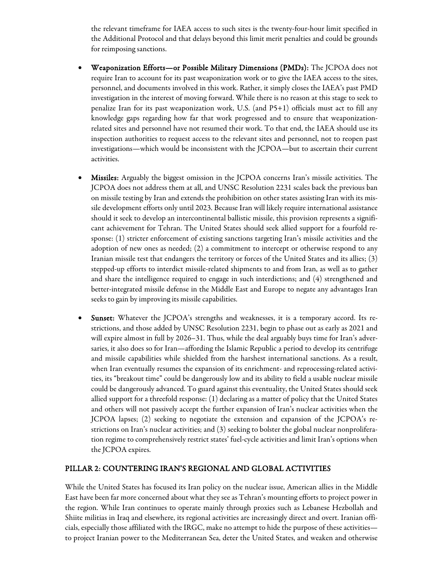the relevant timeframe for IAEA access to such sites is the twenty-four-hour limit specified in the Additional Protocol and that delays beyond this limit merit penalties and could be grounds for reimposing sanctions.

- Weaponization Efforts—or Possible Military Dimensions (PMDs): The JCPOA does not require Iran to account for its past weaponization work or to give the IAEA access to the sites, personnel, and documents involved in this work. Rather, it simply closes the IAEA's past PMD investigation in the interest of moving forward. While there is no reason at this stage to seek to penalize Iran for its past weaponization work, U.S. (and P5+1) officials must act to fill any knowledge gaps regarding how far that work progressed and to ensure that weaponizationrelated sites and personnel have not resumed their work. To that end, the IAEA should use its inspection authorities to request access to the relevant sites and personnel, not to reopen past investigations—which would be inconsistent with the JCPOA—but to ascertain their current activities.
- Missiles: Arguably the biggest omission in the JCPOA concerns Iran's missile activities. The JCPOA does not address them at all, and UNSC Resolution 2231 scales back the previous ban on missile testing by Iran and extends the prohibition on other states assisting Iran with its missile development efforts only until 2023. Because Iran will likely require international assistance should it seek to develop an intercontinental ballistic missile, this provision represents a significant achievement for Tehran. The United States should seek allied support for a fourfold response: (1) stricter enforcement of existing sanctions targeting Iran's missile activities and the adoption of new ones as needed; (2) a commitment to intercept or otherwise respond to any Iranian missile test that endangers the territory or forces of the United States and its allies; (3) stepped-up efforts to interdict missile-related shipments to and from Iran, as well as to gather and share the intelligence required to engage in such interdictions; and (4) strengthened and better-integrated missile defense in the Middle East and Europe to negate any advantages Iran seeks to gain by improving its missile capabilities.
- Sunset: Whatever the JCPOA's strengths and weaknesses, it is a temporary accord. Its restrictions, and those added by UNSC Resolution 2231, begin to phase out as early as 2021 and will expire almost in full by 2026–31. Thus, while the deal arguably buys time for Iran's adversaries, it also does so for Iran—affording the Islamic Republic a period to develop its centrifuge and missile capabilities while shielded from the harshest international sanctions. As a result, when Iran eventually resumes the expansion of its enrichment- and reprocessing-related activities, its "breakout time" could be dangerously low and its ability to field a usable nuclear missile could be dangerously advanced. To guard against this eventuality, the United States should seek allied support for a threefold response: (1) declaring as a matter of policy that the United States and others will not passively accept the further expansion of Iran's nuclear activities when the JCPOA lapses; (2) seeking to negotiate the extension and expansion of the JCPOA's restrictions on Iran's nuclear activities; and (3) seeking to bolster the global nuclear nonproliferation regime to comprehensively restrict states' fuel-cycle activities and limit Iran's options when the JCPOA expires.

#### PILLAR 2: COUNTERING IRAN'S REGIONAL AND GLOBAL ACTIVITIES

While the United States has focused its Iran policy on the nuclear issue, American allies in the Middle East have been far more concerned about what they see as Tehran's mounting efforts to project power in the region. While Iran continues to operate mainly through proxies such as Lebanese Hezbollah and Shiite militias in Iraq and elsewhere, its regional activities are increasingly direct and overt. Iranian officials, especially those affiliated with the IRGC, make no attempt to hide the purpose of these activities to project Iranian power to the Mediterranean Sea, deter the United States, and weaken and otherwise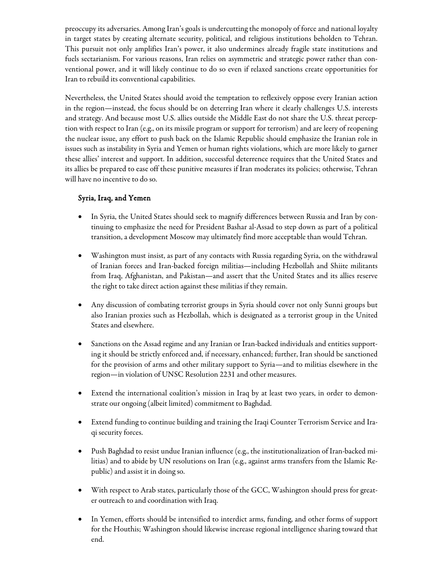preoccupy its adversaries. Among Iran's goals is undercutting the monopoly of force and national loyalty in target states by creating alternate security, political, and religious institutions beholden to Tehran. This pursuit not only amplifies Iran's power, it also undermines already fragile state institutions and fuels sectarianism. For various reasons, Iran relies on asymmetric and strategic power rather than conventional power, and it will likely continue to do so even if relaxed sanctions create opportunities for Iran to rebuild its conventional capabilities.

Nevertheless, the United States should avoid the temptation to reflexively oppose every Iranian action in the region—instead, the focus should be on deterring Iran where it clearly challenges U.S. interests and strategy. And because most U.S. allies outside the Middle East do not share the U.S. threat perception with respect to Iran (e.g., on its missile program or support for terrorism) and are leery of reopening the nuclear issue, any effort to push back on the Islamic Republic should emphasize the Iranian role in issues such as instability in Syria and Yemen or human rights violations, which are more likely to garner these allies' interest and support. In addition, successful deterrence requires that the United States and its allies be prepared to ease off these punitive measures if Iran moderates its policies; otherwise, Tehran will have no incentive to do so.

## Syria, Iraq, and Yemen

- In Syria, the United States should seek to magnify differences between Russia and Iran by continuing to emphasize the need for President Bashar al-Assad to step down as part of a political transition, a development Moscow may ultimately find more acceptable than would Tehran.
- Washington must insist, as part of any contacts with Russia regarding Syria, on the withdrawal of Iranian forces and Iran-backed foreign militias—including Hezbollah and Shiite militants from Iraq, Afghanistan, and Pakistan—and assert that the United States and its allies reserve the right to take direct action against these militias if they remain.
- Any discussion of combating terrorist groups in Syria should cover not only Sunni groups but also Iranian proxies such as Hezbollah, which is designated as a terrorist group in the United States and elsewhere.
- Sanctions on the Assad regime and any Iranian or Iran-backed individuals and entities supporting it should be strictly enforced and, if necessary, enhanced; further, Iran should be sanctioned for the provision of arms and other military support to Syria—and to militias elsewhere in the region—in violation of UNSC Resolution 2231 and other measures.
- Extend the international coalition's mission in Iraq by at least two years, in order to demonstrate our ongoing (albeit limited) commitment to Baghdad.
- Extend funding to continue building and training the Iraqi Counter Terrorism Service and Iraqi security forces.
- Push Baghdad to resist undue Iranian influence (e.g., the institutionalization of Iran-backed militias) and to abide by UN resolutions on Iran (e.g., against arms transfers from the Islamic Republic) and assist it in doing so.
- With respect to Arab states, particularly those of the GCC, Washington should press for greater outreach to and coordination with Iraq.
- In Yemen, efforts should be intensified to interdict arms, funding, and other forms of support for the Houthis; Washington should likewise increase regional intelligence sharing toward that end.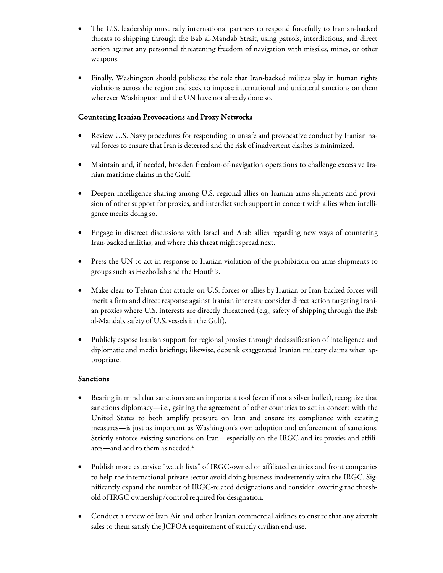- The U.S. leadership must rally international partners to respond forcefully to Iranian-backed threats to shipping through the Bab al-Mandab Strait, using patrols, interdictions, and direct action against any personnel threatening freedom of navigation with missiles, mines, or other weapons.
- Finally, Washington should publicize the role that Iran-backed militias play in human rights violations across the region and seek to impose international and unilateral sanctions on them wherever Washington and the UN have not already done so.

#### Countering Iranian Provocations and Proxy Networks

- Review U.S. Navy procedures for responding to unsafe and provocative conduct by Iranian naval forces to ensure that Iran is deterred and the risk of inadvertent clashes is minimized.
- Maintain and, if needed, broaden freedom-of-navigation operations to challenge excessive Iranian maritime claims in the Gulf.
- Deepen intelligence sharing among U.S. regional allies on Iranian arms shipments and provision of other support for proxies, and interdict such support in concert with allies when intelligence merits doing so.
- Engage in discreet discussions with Israel and Arab allies regarding new ways of countering Iran-backed militias, and where this threat might spread next.
- Press the UN to act in response to Iranian violation of the prohibition on arms shipments to groups such as Hezbollah and the Houthis.
- Make clear to Tehran that attacks on U.S. forces or allies by Iranian or Iran-backed forces will merit a firm and direct response against Iranian interests; consider direct action targeting Iranian proxies where U.S. interests are directly threatened (e.g., safety of shipping through the Bab al-Mandab, safety of U.S. vessels in the Gulf).
- Publicly expose Iranian support for regional proxies through declassification of intelligence and diplomatic and media briefings; likewise, debunk exaggerated Iranian military claims when appropriate.

#### Sanctions

- Bearing in mind that sanctions are an important tool (even if not a silver bullet), recognize that sanctions diplomacy—i.e., gaining the agreement of other countries to act in concert with the United States to both amplify pressure on Iran and ensure its compliance with existing measures—is just as important as Washington's own adoption and enforcement of sanctions. Strictly enforce existing sanctions on Iran—especially on the IRGC and its proxies and affiliates—and add to them as needed.<sup>2</sup>
- Publish more extensive "watch lists" of IRGC-owned or affiliated entities and front companies to help the international private sector avoid doing business inadvertently with the IRGC. Significantly expand the number of IRGC-related designations and consider lowering the threshold of IRGC ownership/control required for designation.
- Conduct a review of Iran Air and other Iranian commercial airlines to ensure that any aircraft sales to them satisfy the JCPOA requirement of strictly civilian end-use.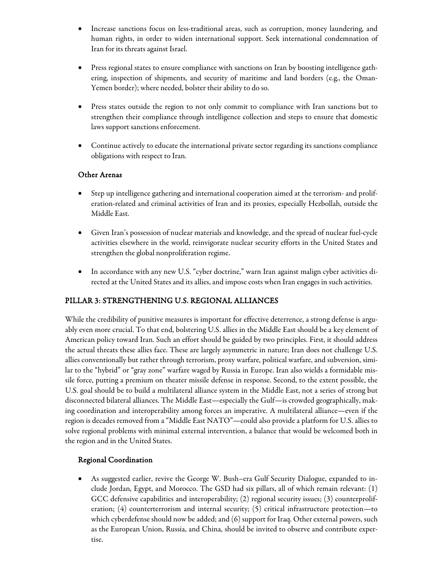- Increase sanctions focus on less-traditional areas, such as corruption, money laundering, and human rights, in order to widen international support. Seek international condemnation of Iran for its threats against Israel.
- Press regional states to ensure compliance with sanctions on Iran by boosting intelligence gathering, inspection of shipments, and security of maritime and land borders (e.g., the Oman-Yemen border); where needed, bolster their ability to do so.
- Press states outside the region to not only commit to compliance with Iran sanctions but to strengthen their compliance through intelligence collection and steps to ensure that domestic laws support sanctions enforcement.
- Continue actively to educate the international private sector regarding its sanctions compliance obligations with respect to Iran.

#### Other Arenas

- Step up intelligence gathering and international cooperation aimed at the terrorism- and proliferation-related and criminal activities of Iran and its proxies, especially Hezbollah, outside the Middle East.
- Given Iran's possession of nuclear materials and knowledge, and the spread of nuclear fuel-cycle activities elsewhere in the world, reinvigorate nuclear security efforts in the United States and strengthen the global nonproliferation regime.
- In accordance with any new U.S. "cyber doctrine," warn Iran against malign cyber activities directed at the United States and its allies, and impose costs when Iran engages in such activities.

## PILLAR 3: STRENGTHENING U.S. REGIONAL ALLIANCES

While the credibility of punitive measures is important for effective deterrence, a strong defense is arguably even more crucial. To that end, bolstering U.S. allies in the Middle East should be a key element of American policy toward Iran. Such an effort should be guided by two principles. First, it should address the actual threats these allies face. These are largely asymmetric in nature; Iran does not challenge U.S. allies conventionally but rather through terrorism, proxy warfare, political warfare, and subversion, similar to the "hybrid" or "gray zone" warfare waged by Russia in Europe. Iran also wields a formidable missile force, putting a premium on theater missile defense in response. Second, to the extent possible, the U.S. goal should be to build a multilateral alliance system in the Middle East, not a series of strong but disconnected bilateral alliances. The Middle East—especially the Gulf—is crowded geographically, making coordination and interoperability among forces an imperative. A multilateral alliance—even if the region is decades removed from a "Middle East NATO"—could also provide a platform for U.S. allies to solve regional problems with minimal external intervention, a balance that would be welcomed both in the region and in the United States.

#### Regional Coordination

• As suggested earlier, revive the George W. Bush–era Gulf Security Dialogue, expanded to include Jordan, Egypt, and Morocco. The GSD had six pillars, all of which remain relevant: (1) GCC defensive capabilities and interoperability; (2) regional security issues; (3) counterproliferation; (4) counterterrorism and internal security; (5) critical infrastructure protection—to which cyberdefense should now be added; and (6) support for Iraq. Other external powers, such as the European Union, Russia, and China, should be invited to observe and contribute expertise.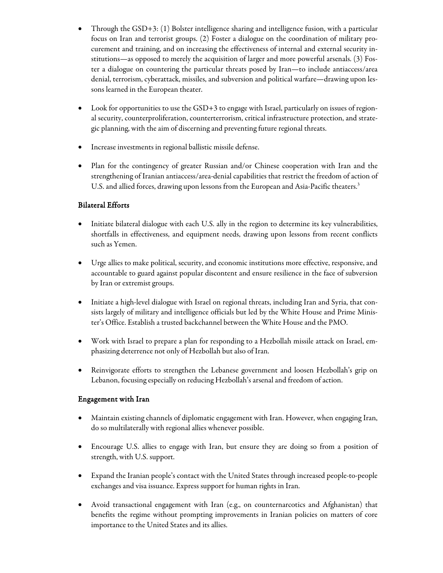- Through the GSD+3: (1) Bolster intelligence sharing and intelligence fusion, with a particular focus on Iran and terrorist groups. (2) Foster a dialogue on the coordination of military procurement and training, and on increasing the effectiveness of internal and external security institutions—as opposed to merely the acquisition of larger and more powerful arsenals. (3) Foster a dialogue on countering the particular threats posed by Iran—to include antiaccess/area denial, terrorism, cyberattack, missiles, and subversion and political warfare—drawing upon lessons learned in the European theater.
- Look for opportunities to use the GSD+3 to engage with Israel, particularly on issues of regional security, counterproliferation, counterterrorism, critical infrastructure protection, and strategic planning, with the aim of discerning and preventing future regional threats.
- Increase investments in regional ballistic missile defense.
- Plan for the contingency of greater Russian and/or Chinese cooperation with Iran and the strengthening of Iranian antiaccess/area-denial capabilities that restrict the freedom of action of U.S. and allied forces, drawing upon lessons from the European and Asia-Pacific theaters.<sup>3</sup>

## Bilateral Efforts

- Initiate bilateral dialogue with each U.S. ally in the region to determine its key vulnerabilities, shortfalls in effectiveness, and equipment needs, drawing upon lessons from recent conflicts such as Yemen.
- Urge allies to make political, security, and economic institutions more effective, responsive, and accountable to guard against popular discontent and ensure resilience in the face of subversion by Iran or extremist groups.
- Initiate a high-level dialogue with Israel on regional threats, including Iran and Syria, that consists largely of military and intelligence officials but led by the White House and Prime Minister's Office. Establish a trusted backchannel between the White House and the PMO.
- Work with Israel to prepare a plan for responding to a Hezbollah missile attack on Israel, emphasizing deterrence not only of Hezbollah but also of Iran.
- Reinvigorate efforts to strengthen the Lebanese government and loosen Hezbollah's grip on Lebanon, focusing especially on reducing Hezbollah's arsenal and freedom of action.

#### Engagement with Iran

- Maintain existing channels of diplomatic engagement with Iran. However, when engaging Iran, do so multilaterally with regional allies whenever possible.
- Encourage U.S. allies to engage with Iran, but ensure they are doing so from a position of strength, with U.S. support.
- Expand the Iranian people's contact with the United States through increased people-to-people exchanges and visa issuance. Express support for human rights in Iran.
- Avoid transactional engagement with Iran (e.g., on counternarcotics and Afghanistan) that benefits the regime without prompting improvements in Iranian policies on matters of core importance to the United States and its allies.